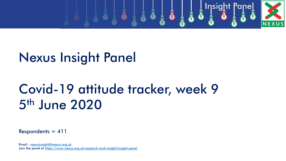

# Nexus Insight Panel

# Covid-19 attitude tracker, week 9 5th June 2020

 $Respondents = 411$ 

Email - [nexusinsight@nexus.org.uk](mailto:nexusinsight@nexus.org.uk) Join the panel at<https://www.nexus.org.uk/research-and-insight/insight-panel>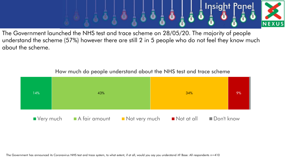

The Government launched the NHS test and trace scheme on 28/05/20. The majority of people understand the scheme (57%) however there are still 2 in 5 people who do not feel they know much about the scheme.



How much do people understand about the NHS test and trace scheme

The Government has announced its Coronavirus NHS test and trace system, to what extent, if at all, would you say you understand it? Base: All respondents n=410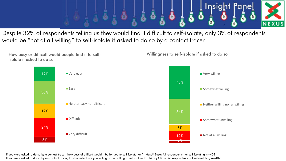

Despite 32% of respondents telling us they would find it difficult to self-isolate, only 3% of respondents would be "not at all willing" to self-isolate if asked to do so by a contact tracer.



If you were asked to do so by a contact tracer, how easy of difficult would it be for you to self-isolate for 14 days? Base: All respondents not self-isolating n=402 If you were asked to do so by an contact tracer, to what extent are you willing or not willing to self-isolate for 14 day? Base: All respondents not self-isolating n=402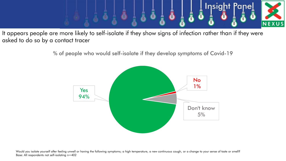

It appears people are more likely to self-isolate if they show signs of infection rather than if they were asked to do so by a contact tracer

% of people who would self-isolate if they develop symptoms of Covid-19

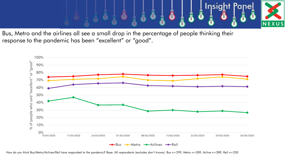

Bus, Metro and the airlines all see a small drop in the percentage of people thinking their response to the pandemic has been "excellent" or "good".



How do you think Bus/Metro/Airlines/Rail have responded to the pandemic? Base: All respondents (excludes don't knows): Bus n=299, Metro n=309, Airline n=289, Rail n=230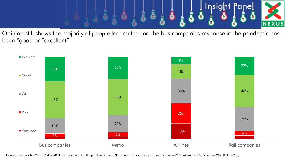

Opinion still shows the majority of people feel metro and the bus companies response to the pandemic has been "good or "excellent".



How do you think Bus/Metro/Airlines/Rail have responded to the pandemic? Base: All respondents (excludes don't knows): Bus n=299, Metro n=309, Airline n=289, Rail n=230)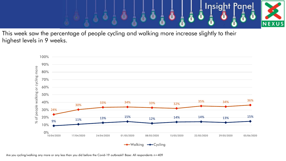

This week saw the percentage of people cycling and walking more increase slightly to their highest levels in 9 weeks.

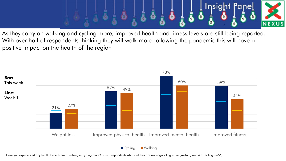

As they carry on walking and cycling more, improved health and fitness levels are still being reported. With over half of respondents thinking they will walk more following the pandemic this will have a positive impact on the health of the region



Have you experienced any health benefits from walking or cycling more? Base: Respondents who said they are walking/cycling more (Walking n=140, Cycling n=56)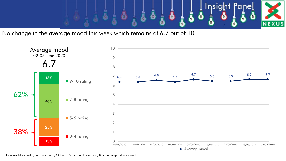

No change in the average mood this week which remains at 6.7 out of 10.



How would you rate your mood today? (0 to 10 Very poor to excellent) Base: All respondents n=408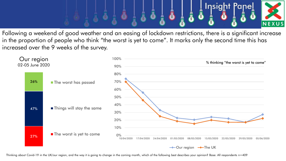

Following a weekend of good weather and an easing of lockdown restrictions, there is a significant increase in the proportion of people who think "the worst is yet to come". It marks only the second time this has increased over the 9 weeks of the survey.

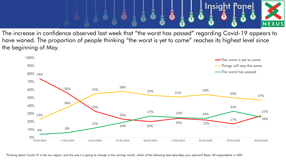

The increase in confidence observed last week that "the worst has passed" regarding Covid-19 appears to have waned. The proportion of people thinking "the worst is yet to come" reaches its highest level since the beginning of May.

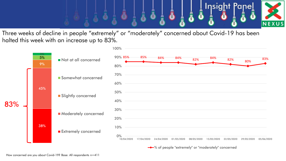

Three weeks of decline in people "extremely" or "moderately" concerned about Covid-19 has been halted this week with an increase up to 83%.

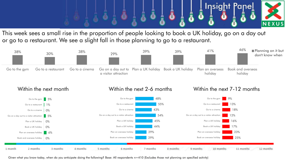

This week sees a small rise in the proportion of people looking to book a UK holiday, go on a day out or go to a restaurant. We see a slight fall in those planning to go to a restaurant.



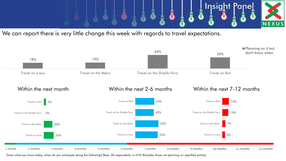

We can report there is very little change this week with regards to travel expectations.

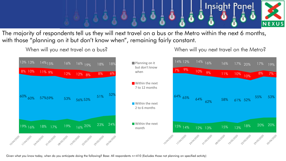

The majority of respondents tell us they will next travel on a bus or the Metro within the next 6 months, with those "planning on it but don't know when", remaining fairly constant.

When will you next travel on a bus?



When will you next travel on the Metro?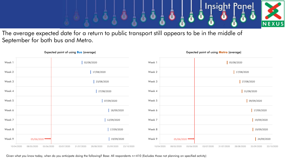

The average expected date for a return to public transport still appears to be in the middle of September for both bus and Metro.



Expected point of using **Bus** (average)



Expected point of using **Metro** (average)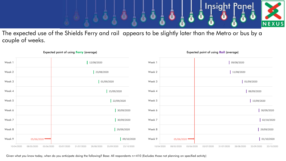

The expected use of the Shields Ferry and rail appears to be slightly later than the Metro or bus by a couple of weeks.



# Expected point of using **Ferry** (average)

Given what you know today, when do you anticipate doing the following? Base: All respondents n=410 (Excludes those not planning on specified activity)

#### Expected point of using **Rail** (average)

01/09/2020

08/09/2020

15/09/2020

30/09/2020

02/10/2020

29/09/2020

01/10/2020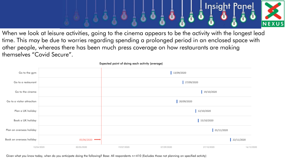

When we look at leisure activities, going to the cinema appears to be the activity with the longest lead time. This may be due to worries regarding spending a prolonged period in an enclosed space with other people, whereas there has been much press coverage on how restaurants are making themselves "Covid Secure".

|                            |                          |            | $\sim$     |            |            |  |  |
|----------------------------|--------------------------|------------|------------|------------|------------|--|--|
| Go to the gym              |                          |            |            | 13/09/2020 |            |  |  |
| Go to a restaurant         |                          |            | 27/09/2020 |            |            |  |  |
| Go to the cinema           |                          |            |            | 19/10/2020 |            |  |  |
| Go to a visitor attraction |                          |            |            | 20/09/2020 |            |  |  |
| Plan a UK holiday          |                          |            |            | 12/10/2020 |            |  |  |
| Book a UK holiday          |                          |            |            | 15/10/2020 |            |  |  |
| Plan an overseas holiday   |                          |            |            | 01/11/2020 |            |  |  |
| Book an overseas holiday   | 05/06/2020               |            |            |            | 22/11/2020 |  |  |
|                            | 10/04/2020<br>30/05/2020 | 19/07/2020 | 07/09/2020 | 27/10/2020 | 16/12/2020 |  |  |

Expected point of doing each activity (average)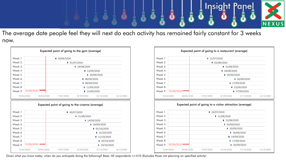

The average date people feel they will next do each activity has remained fairly constant for 3 weeks now.

| Week 1 |            | ■ 30/06/2020              |            |            |  |  |  |  |
|--------|------------|---------------------------|------------|------------|--|--|--|--|
| Week 2 |            | $\blacksquare$ 31/07/2020 |            |            |  |  |  |  |
| Week 3 |            |                           | 19/08/2020 |            |  |  |  |  |
| Week 4 |            | 13/09/2020                |            |            |  |  |  |  |
| Week 5 |            | ■ 20/09/2020              |            |            |  |  |  |  |
| Week 6 |            | $\blacksquare$ 08/09/2020 |            |            |  |  |  |  |
| Week 7 |            | ■ 08/09/2020              |            |            |  |  |  |  |
| Week 8 |            | 11/09/2020                |            |            |  |  |  |  |
| Week 9 | 05/06/2020 |                           |            | 13/09/2020 |  |  |  |  |

# Expected point of going to the cinema (average)

| Week 8<br>Week 9 | 05/06/2020   |             |                           | $\blacksquare$ 20/10/2020<br>19/10/2020 |  |  |  |  |
|------------------|--------------|-------------|---------------------------|-----------------------------------------|--|--|--|--|
| Week 7           |              |             |                           | 11/10/2020                              |  |  |  |  |
| Week 6           |              |             |                           | 13/10/2020                              |  |  |  |  |
| Week 5           |              |             | $\blacksquare$ 05/10/2020 |                                         |  |  |  |  |
| Week 4           |              |             | ■ 28/09/2020              |                                         |  |  |  |  |
| Week 3           |              | 14/09/2020  |                           |                                         |  |  |  |  |
| Week 2           |              | 121/08/2020 |                           |                                         |  |  |  |  |
| Week 1           | ■ 30/07/2020 |             |                           |                                         |  |  |  |  |

|        |                          | Expected point of going to a restaurant (average) |                           |              |            |  |  |  |
|--------|--------------------------|---------------------------------------------------|---------------------------|--------------|------------|--|--|--|
| Week 1 |                          |                                                   | $\blacksquare$ 21/07/2020 |              |            |  |  |  |
| Week 2 |                          |                                                   | $\blacksquare$ 02/08/2020 |              |            |  |  |  |
| Week 3 |                          |                                                   | $\blacksquare$ 31/08/2020 |              |            |  |  |  |
| Week 4 |                          |                                                   | ■ 28/08/2020              |              |            |  |  |  |
| Week 5 |                          |                                                   | $\blacksquare$ 04/09/2020 |              |            |  |  |  |
| Week 6 |                          |                                                   |                           | ■ 30/09/2020 |            |  |  |  |
| Week 7 |                          |                                                   | 17/09/2020                |              |            |  |  |  |
| Week 8 |                          |                                                   | ■ 22/09/2020              |              |            |  |  |  |
| Week 9 | 05/06/2020               |                                                   |                           | ■ 27/09/2020 |            |  |  |  |
|        | 10/04/2020<br>30/05/2020 | 19/07/2020                                        | 07/09/2020                | 27/10/2020   | 16/12/2020 |  |  |  |

### Expected point of going to a visitor attraction (average)

| Week 9 | 05/06/2020 | ■ 20/09/2020              |  |  |  |  |  |
|--------|------------|---------------------------|--|--|--|--|--|
| Week 8 |            | 17/09/2020                |  |  |  |  |  |
| Week 7 |            | 14/09/2020                |  |  |  |  |  |
| Week 6 |            | 18/09/2020                |  |  |  |  |  |
| Week 5 |            | 10/09/2020                |  |  |  |  |  |
| Week 4 |            | $\blacksquare$ 03/09/2020 |  |  |  |  |  |
| Week 3 |            | $\blacksquare$ 31/08/2020 |  |  |  |  |  |
| Week 2 |            | 11/08/2020                |  |  |  |  |  |
| Week 1 |            | 126/07/2020               |  |  |  |  |  |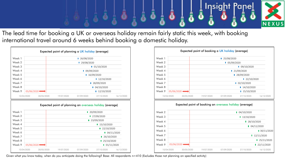

The lead time for booking a UK or overseas holiday remain fairly static this week, with booking international travel around 6 weeks behind booking a domestic holiday.

| Week 2<br>■ 29/08/2020<br>Week 3<br>$\blacksquare$ 01/10/2020<br>Week 4<br>■ 09/09/2020<br>Week 5<br>16/09/2020<br>Week 6<br>12/10/2020<br>Week 7<br>■ 28/09/2020<br>Week 8<br>$\blacksquare$ 04/10/2020<br>Week 9<br>05/06/2020<br>12/10/2020<br>10/04/2020<br>30/05/2020<br>19/07/2020<br>07/09/2020<br>27/10/2020<br>16/12/2020<br>Expected point of planning an overseas holiday (average)<br>Week 1<br>■ 20/09/2020<br>Week 2<br>$\blacksquare$ 27/09/2020<br>Week 3<br>■ 23/09/2020<br>Week 4<br>15/10/2020<br>Week 5<br>$\blacksquare$ 22/10/2020<br>Week 6<br>$\blacksquare$ 04/11/2020<br>Week 7<br>126/10/2020<br>Week 8<br>$\blacksquare$ 25/10/2020<br>Week 9<br>05/06/2020<br>$\blacksquare$ 01/11/2020 | Week 1 |  |  | ■ 26/08/2020 |  |  |  |  |  |  |
|----------------------------------------------------------------------------------------------------------------------------------------------------------------------------------------------------------------------------------------------------------------------------------------------------------------------------------------------------------------------------------------------------------------------------------------------------------------------------------------------------------------------------------------------------------------------------------------------------------------------------------------------------------------------------------------------------------------------|--------|--|--|--------------|--|--|--|--|--|--|
|                                                                                                                                                                                                                                                                                                                                                                                                                                                                                                                                                                                                                                                                                                                      |        |  |  |              |  |  |  |  |  |  |
|                                                                                                                                                                                                                                                                                                                                                                                                                                                                                                                                                                                                                                                                                                                      |        |  |  |              |  |  |  |  |  |  |
|                                                                                                                                                                                                                                                                                                                                                                                                                                                                                                                                                                                                                                                                                                                      |        |  |  |              |  |  |  |  |  |  |
|                                                                                                                                                                                                                                                                                                                                                                                                                                                                                                                                                                                                                                                                                                                      |        |  |  |              |  |  |  |  |  |  |
|                                                                                                                                                                                                                                                                                                                                                                                                                                                                                                                                                                                                                                                                                                                      |        |  |  |              |  |  |  |  |  |  |
|                                                                                                                                                                                                                                                                                                                                                                                                                                                                                                                                                                                                                                                                                                                      |        |  |  |              |  |  |  |  |  |  |
|                                                                                                                                                                                                                                                                                                                                                                                                                                                                                                                                                                                                                                                                                                                      |        |  |  |              |  |  |  |  |  |  |
|                                                                                                                                                                                                                                                                                                                                                                                                                                                                                                                                                                                                                                                                                                                      |        |  |  |              |  |  |  |  |  |  |
|                                                                                                                                                                                                                                                                                                                                                                                                                                                                                                                                                                                                                                                                                                                      |        |  |  |              |  |  |  |  |  |  |
|                                                                                                                                                                                                                                                                                                                                                                                                                                                                                                                                                                                                                                                                                                                      |        |  |  |              |  |  |  |  |  |  |
|                                                                                                                                                                                                                                                                                                                                                                                                                                                                                                                                                                                                                                                                                                                      |        |  |  |              |  |  |  |  |  |  |
|                                                                                                                                                                                                                                                                                                                                                                                                                                                                                                                                                                                                                                                                                                                      |        |  |  |              |  |  |  |  |  |  |
|                                                                                                                                                                                                                                                                                                                                                                                                                                                                                                                                                                                                                                                                                                                      |        |  |  |              |  |  |  |  |  |  |
|                                                                                                                                                                                                                                                                                                                                                                                                                                                                                                                                                                                                                                                                                                                      |        |  |  |              |  |  |  |  |  |  |
|                                                                                                                                                                                                                                                                                                                                                                                                                                                                                                                                                                                                                                                                                                                      |        |  |  |              |  |  |  |  |  |  |
|                                                                                                                                                                                                                                                                                                                                                                                                                                                                                                                                                                                                                                                                                                                      |        |  |  |              |  |  |  |  |  |  |
|                                                                                                                                                                                                                                                                                                                                                                                                                                                                                                                                                                                                                                                                                                                      |        |  |  |              |  |  |  |  |  |  |
|                                                                                                                                                                                                                                                                                                                                                                                                                                                                                                                                                                                                                                                                                                                      |        |  |  |              |  |  |  |  |  |  |

| Expected point of booking a UK holiday (average) |                          |              |                           |                           |            |  |  |  |
|--------------------------------------------------|--------------------------|--------------|---------------------------|---------------------------|------------|--|--|--|
| Week 1                                           |                          | ■ 25/08/2020 |                           |                           |            |  |  |  |
| Week 2                                           |                          |              | $\blacksquare$ 05/09/2020 |                           |            |  |  |  |
| Week 3                                           |                          |              | $\blacksquare$ 09/10/2020 |                           |            |  |  |  |
| Week 4                                           |                          |              | $\blacksquare$ 21/09/2020 |                           |            |  |  |  |
| Week 5                                           |                          |              |                           | 28/09/2020                |            |  |  |  |
| Week 6                                           |                          |              |                           | $\blacksquare$ 22/10/2020 |            |  |  |  |
| Week 7                                           |                          |              |                           | $\blacksquare$ 02/10/2020 |            |  |  |  |
| Week 8                                           |                          |              | 14/10/2020                |                           |            |  |  |  |
| Week 9                                           | 05/06/2020               |              |                           | $\blacksquare$ 15/10/2020 |            |  |  |  |
|                                                  | 10/04/2020<br>30/05/2020 | 19/07/2020   | 07/09/2020                | 27/10/2020                | 16/12/2020 |  |  |  |

# Expected point of booking an overseas holiday (average)

| Week 2 |                          |            |            | $\blacksquare$ 04/10/2020 |                           |
|--------|--------------------------|------------|------------|---------------------------|---------------------------|
| Week 3 |                          |            |            | 13/10/2020                |                           |
| Week 4 |                          |            |            | $\blacksquare$ 28/10/2020 |                           |
| Week 5 |                          |            |            |                           | $\blacksquare$ 04/11/2020 |
| Week 6 |                          |            |            |                           | 130/11/2020               |
| Week 7 |                          |            |            |                           | 12/11/2020                |
| Week 8 |                          |            |            |                           | $\blacksquare$ 25/11/2020 |
| Week 9 | 05/06/2020               |            |            |                           | $\blacksquare$ 22/11/2020 |
|        | 10/04/2020<br>30/05/2020 | 19/07/2020 | 07/09/2020 | 27/10/2020                | 16/12/2020                |
|        |                          |            |            |                           |                           |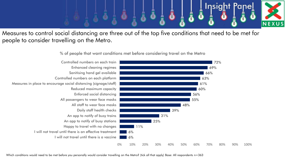

Measures to control social distancing are three out of the top five conditions that need to be met for people to consider travelling on the Metro.

% of people that want conditions met before considering travel on the Metro



Which conditions would need to be met before you personally would consider travelling on the Metro? (tick all that apply) Base: All respondents n=363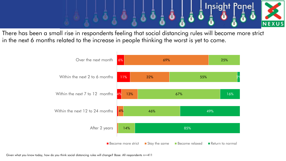

There has been a small rise in respondents feeling that social distancing rules will become more strict in the next 6 months related to the increase in people thinking the worst is yet to come.



Given what you know today, how do you think social distancing rules will change? Base: All respondents n=411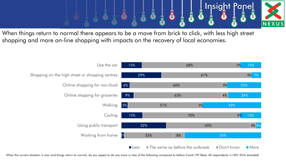

When things return to normal there appears to be a move from brick to click, with less high street shopping and more on-line shopping with impacts on the recovery of local economies.



When the current situation is over and things return to normal, do you expect to do any more or less of the following compared to before Covid-19? Base: All respondents n=407 (N/A excluded)